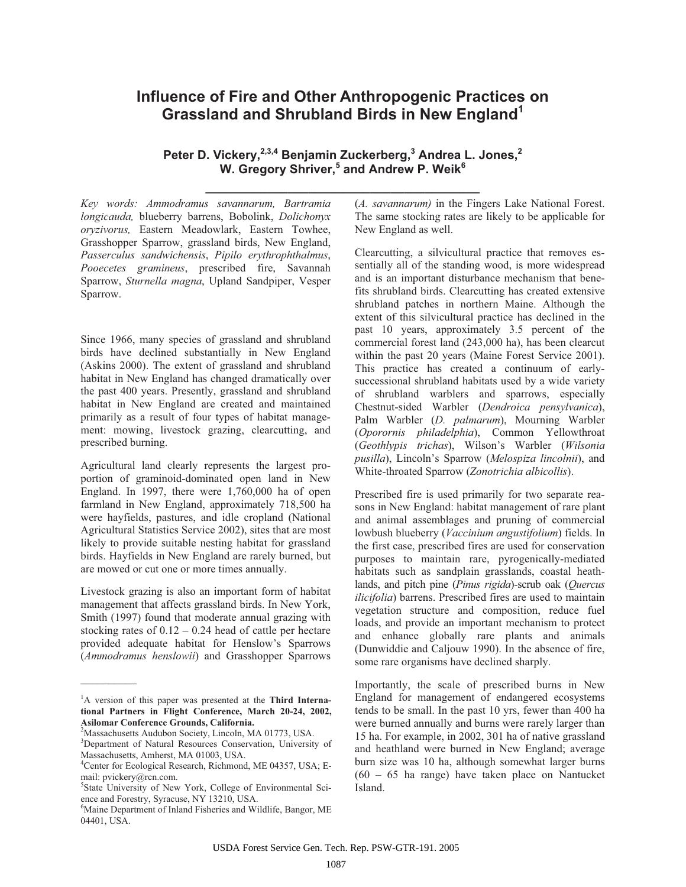## **Influence of Fire and Other Anthropogenic Practices on Grassland and Shrubland Birds in New England<sup>1</sup>**

**Peter D. Vickery,2,3,4 Benjamin Zuckerberg,3 Andrea L. Jones,<sup>2</sup> W. Gregory Shriver,<sup>5</sup> and Andrew P. Weik** $^6$ 

**\_\_\_\_\_\_\_\_\_\_\_\_\_\_\_\_\_\_\_\_\_\_\_\_\_\_\_\_\_\_\_\_\_\_\_\_\_\_\_\_**

*Key words: Ammodramus savannarum, Bartramia longicauda,* blueberry barrens, Bobolink, *Dolichonyx oryzivorus,* Eastern Meadowlark, Eastern Towhee, Grasshopper Sparrow, grassland birds, New England, *Passerculus sandwichensis*, *Pipilo erythrophthalmus*, *Pooecetes gramineus*, prescribed fire, Savannah Sparrow, *Sturnella magna*, Upland Sandpiper, Vesper Sparrow.

Since 1966, many species of grassland and shrubland birds have declined substantially in New England (Askins 2000). The extent of grassland and shrubland habitat in New England has changed dramatically over the past 400 years. Presently, grassland and shrubland habitat in New England are created and maintained primarily as a result of four types of habitat management: mowing, livestock grazing, clearcutting, and prescribed burning.

Agricultural land clearly represents the largest proportion of graminoid-dominated open land in New England. In 1997, there were 1,760,000 ha of open farmland in New England, approximately 718,500 ha were hayfields, pastures, and idle cropland (National Agricultural Statistics Service 2002), sites that are most likely to provide suitable nesting habitat for grassland birds. Hayfields in New England are rarely burned, but are mowed or cut one or more times annually.

Livestock grazing is also an important form of habitat management that affects grassland birds. In New York, Smith (1997) found that moderate annual grazing with stocking rates of  $0.12 - 0.24$  head of cattle per hectare provided adequate habitat for Henslow's Sparrows (*Ammodramus henslowii*) and Grasshopper Sparrows

 $\mathcal{L}$  and  $\mathcal{L}$ 

(*A. savannarum)* in the Fingers Lake National Forest. The same stocking rates are likely to be applicable for New England as well.

Clearcutting, a silvicultural practice that removes essentially all of the standing wood, is more widespread and is an important disturbance mechanism that benefits shrubland birds. Clearcutting has created extensive shrubland patches in northern Maine. Although the extent of this silvicultural practice has declined in the past 10 years, approximately 3.5 percent of the commercial forest land (243,000 ha), has been clearcut within the past 20 years (Maine Forest Service 2001). This practice has created a continuum of earlysuccessional shrubland habitats used by a wide variety of shrubland warblers and sparrows, especially Chestnut-sided Warbler (*Dendroica pensylvanica*), Palm Warbler (*D. palmarum*), Mourning Warbler (*Oporornis philadelphia*), Common Yellowthroat (*Geothlypis trichas*), Wilson's Warbler (*Wilsonia pusilla*), Lincoln's Sparrow (*Melospiza lincolnii*), and White-throated Sparrow (*Zonotrichia albicollis*).

Prescribed fire is used primarily for two separate reasons in New England: habitat management of rare plant and animal assemblages and pruning of commercial lowbush blueberry (*Vaccinium angustifolium*) fields. In the first case, prescribed fires are used for conservation purposes to maintain rare, pyrogenically-mediated habitats such as sandplain grasslands, coastal heathlands, and pitch pine (*Pinus rigida*)-scrub oak (*Quercus ilicifolia*) barrens. Prescribed fires are used to maintain vegetation structure and composition, reduce fuel loads, and provide an important mechanism to protect and enhance globally rare plants and animals (Dunwiddie and Caljouw 1990). In the absence of fire, some rare organisms have declined sharply.

Importantly, the scale of prescribed burns in New England for management of endangered ecosystems tends to be small. In the past 10 yrs, fewer than 400 ha were burned annually and burns were rarely larger than 15 ha. For example, in 2002, 301 ha of native grassland and heathland were burned in New England; average burn size was 10 ha, although somewhat larger burns (60 – 65 ha range) have taken place on Nantucket Island.

<sup>1</sup> A version of this paper was presented at the **Third International Partners in Flight Conference, March 20-24, 2002, Asilomar Conference Grounds, California.** 

<sup>&</sup>lt;sup>2</sup>Massachusetts Audubon Society, Lincoln, MA 01773, USA. <sup>3</sup>Department of Natural Resources Conservation, University of Massachusetts, Amherst, MA 01003, USA.

<sup>4</sup> Center for Ecological Research, Richmond, ME 04357, USA; Email: pvickery@rcn.com.

<sup>&</sup>lt;sup>5</sup>State University of New York, College of Environmental Science and Forestry, Syracuse, NY 13210, USA.

<sup>6</sup> Maine Department of Inland Fisheries and Wildlife, Bangor, ME 04401, USA.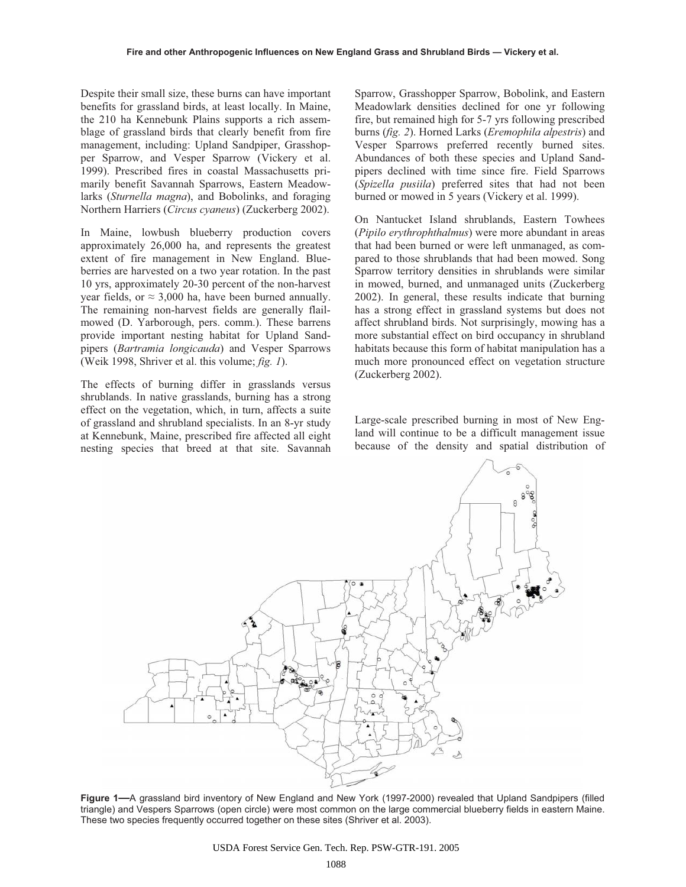Despite their small size, these burns can have important benefits for grassland birds, at least locally. In Maine, the 210 ha Kennebunk Plains supports a rich assemblage of grassland birds that clearly benefit from fire management, including: Upland Sandpiper, Grasshopper Sparrow, and Vesper Sparrow (Vickery et al. 1999). Prescribed fires in coastal Massachusetts primarily benefit Savannah Sparrows, Eastern Meadowlarks (*Sturnella magna*), and Bobolinks, and foraging Northern Harriers (*Circus cyaneus*) (Zuckerberg 2002).

In Maine, lowbush blueberry production covers approximately 26,000 ha, and represents the greatest extent of fire management in New England. Blueberries are harvested on a two year rotation. In the past 10 yrs, approximately 20-30 percent of the non-harvest year fields, or  $\approx$  3,000 ha, have been burned annually. The remaining non-harvest fields are generally flailmowed (D. Yarborough, pers. comm.). These barrens provide important nesting habitat for Upland Sandpipers (*Bartramia longicauda*) and Vesper Sparrows (Weik 1998, Shriver et al. this volume; *fig. 1*).

The effects of burning differ in grasslands versus shrublands. In native grasslands, burning has a strong effect on the vegetation, which, in turn, affects a suite of grassland and shrubland specialists. In an 8-yr study at Kennebunk, Maine, prescribed fire affected all eight nesting species that breed at that site. Savannah

Sparrow, Grasshopper Sparrow, Bobolink, and Eastern Meadowlark densities declined for one yr following fire, but remained high for 5-7 yrs following prescribed burns (*fig. 2*). Horned Larks (*Eremophila alpestris*) and Vesper Sparrows preferred recently burned sites. Abundances of both these species and Upland Sandpipers declined with time since fire. Field Sparrows (*Spizella pusiila*) preferred sites that had not been burned or mowed in 5 years (Vickery et al. 1999).

On Nantucket Island shrublands, Eastern Towhees (*Pipilo erythrophthalmus*) were more abundant in areas that had been burned or were left unmanaged, as compared to those shrublands that had been mowed. Song Sparrow territory densities in shrublands were similar in mowed, burned, and unmanaged units (Zuckerberg 2002). In general, these results indicate that burning has a strong effect in grassland systems but does not affect shrubland birds. Not surprisingly, mowing has a more substantial effect on bird occupancy in shrubland habitats because this form of habitat manipulation has a much more pronounced effect on vegetation structure (Zuckerberg 2002).

Large-scale prescribed burning in most of New England will continue to be a difficult management issue because of the density and spatial distribution of



**Figure 1—**A grassland bird inventory of New England and New York (1997-2000) revealed that Upland Sandpipers (filled triangle) and Vespers Sparrows (open circle) were most common on the large commercial blueberry fields in eastern Maine. These two species frequently occurred together on these sites (Shriver et al. 2003).